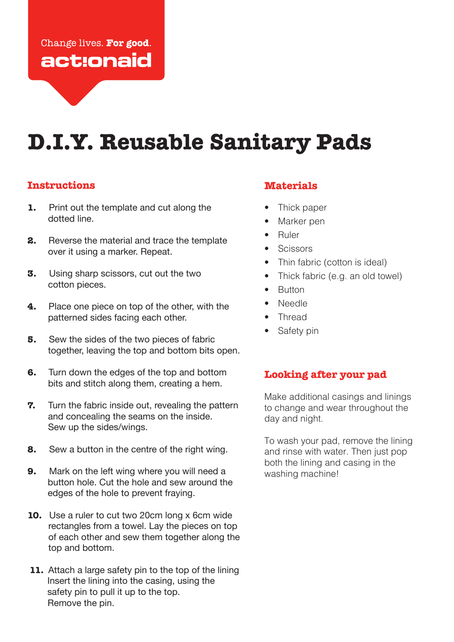## Change lives. For good. act:onaid

# **D.I.Y. Reusable Sanitary Pads**

#### **Instructions**

- **1.** Print out the template and cut along the dotted line.
- **2.** Reverse the material and trace the template over it using a marker. Repeat.
- **3.** Using sharp scissors, cut out the two cotton pieces.
- **4.** Place one piece on top of the other, with the patterned sides facing each other.
- **5.** Sew the sides of the two pieces of fabric together, leaving the top and bottom bits open.
- **6.** Turn down the edges of the top and bottom bits and stitch along them, creating a hem.
- **7.** Turn the fabric inside out, revealing the pattern and concealing the seams on the inside. Sew up the sides/wings.
- **8.** Sew a button in the centre of the right wing.
- **9.** Mark on the left wing where you will need a button hole. Cut the hole and sew around the edges of the hole to prevent fraying.
- **10.** Use a ruler to cut two 20cm long x 6cm wide rectangles from a towel. Lay the pieces on top of each other and sew them together along the top and bottom.
- **11.** Attach a large safety pin to the top of the lining Insert the lining into the casing, using the safety pin to pull it up to the top. Remove the pin.

### **Materials**

- Thick paper
- Marker pen
- Ruler
- Scissors
- Thin fabric (cotton is ideal)
- Thick fabric (e.g. an old towel)
- Button
- Needle
- Thread
- Safety pin

#### **Looking after your pad**

Make additional casings and linings to change and wear throughout the day and night.

To wash your pad, remove the lining and rinse with water. Then just pop both the lining and casing in the washing machine!